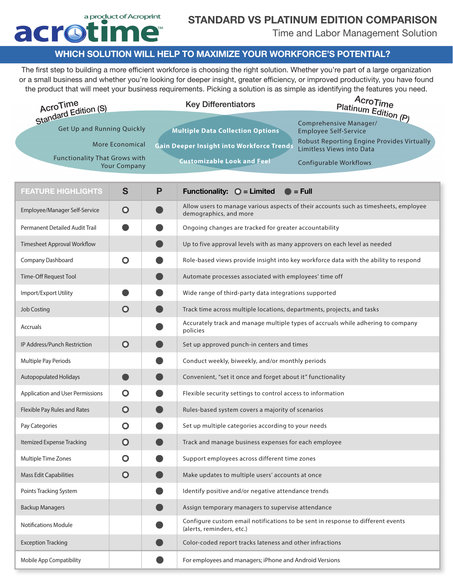### a product of Acroprint acroti me

# STANDARD VS PLATINUM EDITION COMPARISON

Time and Labor Management Solution

#### WHICH SOLUTION WILL HELP TO MAXIMIZE YOUR WORKFORCE'S POTENTIAL?

The first step to building a more efficient workforce is choosing the right solution. Whether you're part of a large organization or a small business and whether you're looking for deeper insight, greater efficiency, or improved productivity, you have found the product that will meet your business requirements. Picking a solution is as simple as identifying the features you need.

| AcroTime<br>Standard Edition (S)                            |                        |                                   | <b>Key Differentiators</b>                                                                                   | AcroTime<br>Platinum Edition (P)                                                     |
|-------------------------------------------------------------|------------------------|-----------------------------------|--------------------------------------------------------------------------------------------------------------|--------------------------------------------------------------------------------------|
| Get Up and Running Quickly                                  |                        |                                   | <b>Multiple Data Collection Options</b>                                                                      | Comprehensive Manager/<br><b>Employee Self-Service</b>                               |
|                                                             | <b>More Economical</b> |                                   | <b>Gain Deeper Insight into Workforce Trends</b>                                                             | Robust Reporting Engine Provides Virtually<br>Limitless Views into Data              |
| <b>Functionality That Grows with</b><br><b>Your Company</b> |                        | <b>Customizable Look and Feel</b> |                                                                                                              | <b>Configurable Workflows</b>                                                        |
|                                                             |                        |                                   |                                                                                                              |                                                                                      |
| <b>FEATURE HIGHLIGHTS</b>                                   | S                      | P                                 | Functionality: $\bigcirc$ = Limited                                                                          | $\blacksquare$ = Full                                                                |
| Employee/Manager Self-Service                               | $\mathbf O$            |                                   | demographics, and more                                                                                       | Allow users to manage various aspects of their accounts such as timesheets, employee |
| Permanent Detailed Audit Trail                              |                        |                                   | Ongoing changes are tracked for greater accountability                                                       |                                                                                      |
| <b>Timesheet Approval Workflow</b>                          |                        |                                   | Up to five approval levels with as many approvers on each level as needed                                    |                                                                                      |
| Company Dashboard                                           | $\mathbf O$            |                                   |                                                                                                              | Role-based views provide insight into key workforce data with the ability to respond |
| Time-Off Request Tool                                       |                        |                                   | Automate processes associated with employees' time off                                                       |                                                                                      |
| Import/Export Utility                                       |                        |                                   | Wide range of third-party data integrations supported                                                        |                                                                                      |
| <b>Job Costing</b>                                          | $\mathbf O$            |                                   | Track time across multiple locations, departments, projects, and tasks                                       |                                                                                      |
| Accruals                                                    |                        |                                   | policies                                                                                                     | Accurately track and manage multiple types of accruals while adhering to company     |
| IP Address/Punch Restriction                                | $\mathbf O$            |                                   | Set up approved punch-in centers and times                                                                   |                                                                                      |
| Multiple Pay Periods                                        |                        |                                   | Conduct weekly, biweekly, and/or monthly periods                                                             |                                                                                      |
| <b>Autopopulated Holidays</b>                               |                        |                                   | Convenient, "set it once and forget about it" functionality                                                  |                                                                                      |
| Application and User Permissions                            | O                      |                                   | Flexible security settings to control access to information                                                  |                                                                                      |
| Flexible Pay Rules and Rates                                | $\mathbf O$            |                                   | Rules-based system covers a majority of scenarios                                                            |                                                                                      |
| Pay Categories                                              | O                      |                                   | Set up multiple categories according to your needs                                                           |                                                                                      |
| Itemized Expense Tracking                                   | $\bullet$              |                                   | Track and manage business expenses for each employee                                                         |                                                                                      |
| Multiple Time Zones                                         | O                      |                                   | Support employees across different time zones                                                                |                                                                                      |
| <b>Mass Edit Capabilities</b>                               | $\mathbf{O}$           |                                   | Make updates to multiple users' accounts at once                                                             |                                                                                      |
| Points Tracking System                                      |                        |                                   | Identify positive and/or negative attendance trends                                                          |                                                                                      |
| <b>Backup Managers</b>                                      |                        |                                   | Assign temporary managers to supervise attendance                                                            |                                                                                      |
| <b>Notifications Module</b>                                 |                        |                                   | Configure custom email notifications to be sent in response to different events<br>(alerts, reminders, etc.) |                                                                                      |
| <b>Exception Tracking</b>                                   |                        |                                   | Color-coded report tracks lateness and other infractions                                                     |                                                                                      |
| Mobile App Compatibility                                    |                        |                                   | For employees and managers; iPhone and Android Versions                                                      |                                                                                      |